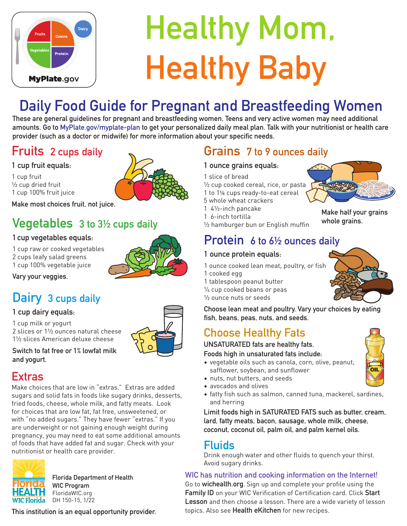

# Healthy Mom, Healthy Baby

# Daily Food Guide for Pregnant and Breastfeeding Women

These are general guidelines for pregnant and breastfeeding women. Teens and very active women may need additional amounts. Go to MyPlate.gov/myplate-plan to get your personalized daily meal plan. Talk with your nutritionist or health care provider (such as a doctor or midwife) for more information about your specific needs.

#### Fruits 2 cups daily

#### 1 cup fruit equals:

1 cup fruit ½ cup dried fruit 1 cup 100% fruit juice



Make most choices fruit, not juice.

#### Vegetables 3 to 3½ cups daily

#### 1 cup vegetables equals:

1 cup raw or cooked vegetables 2 cups leafy salad greens 1 cup 100% vegetable juice

Vary your veggies.

## Dairy 3 cups daily

#### 1 cup dairy equals:

1 cup milk or yogurt 2 slices or 1½ ounces natural cheese 1½ slices American deluxe cheese



Switch to fat free or 1% lowfat milk and yogurt.

#### **Extras**

Make choices that are low in "extras." Extras are added sugars and solid fats in foods like sugary drinks, desserts, fried foods, cheese, whole milk, and fatty meats. Look for choices that are low fat, fat free, unsweetened, or with "no added sugars." They have fewer "extras." If you are underweight or not gaining enough weight during pregnancy, you may need to eat some additional amounts of foods that have added fat and sugar. Check with your nutritionist or health care provider.



Florida Department of Health WIC Program FloridaWIC.org **WIC Florida** DH 150-15, 1/22

This institution is an equal opportunity provider. This institution is an equal opportunity provider.

#### Grains 7 to 9 ounces daily

#### 1 ounce grains equals:

- 1 slice of bread
- $\frac{1}{2}$  cup cooked cereal, rice, or pasta 1 to 1¼ cups ready-to-eat cereal
- 5 whole wheat crackers
- 1 4½-inch pancake
- 1 6-inch tortilla



½ hamburger bun or English muffin

#### Protein 6 to 6<sup>1/2</sup> ounces daily

#### 1 ounce protein equals:

1 ounce cooked lean meat, poultry, or fish 1 cooked egg

1 tablespoon peanut butter ¼ cup cooked beans or peas ½ ounce nuts or seeds

Choose lean meat and poultry. Vary your choices by eating fish, beans, peas, nuts, and seeds.

## Choose Healthy Fats

UNSATURATED fats are healthy fats.

Foods high in unsaturated fats include:

- vegetable oils such as canola, corn, olive, peanut, safflower, soybean, and sunflower
- nuts, nut butters, and seeds
- avocados and olives
- fatty fish such as salmon, canned tuna, mackerel, sardines, and herring

Limit foods high in SATURATED FATS such as butter, cream, lard, fatty meats, bacon, sausage, whole milk, cheese, coconut, coconut oil, palm oil, and palm kernel oils.

#### Fluids

Drink enough water and other fluids to quench your thirst. Avoid sugary drinks.

#### WIC has nutrition and cooking information on the Internet!

Go to wichealth.org. Sign up and complete your profile using the Family ID on your WIC Verification of Certification card. Click Start Lesson and then choose a lesson. There are a wide variety of lesson